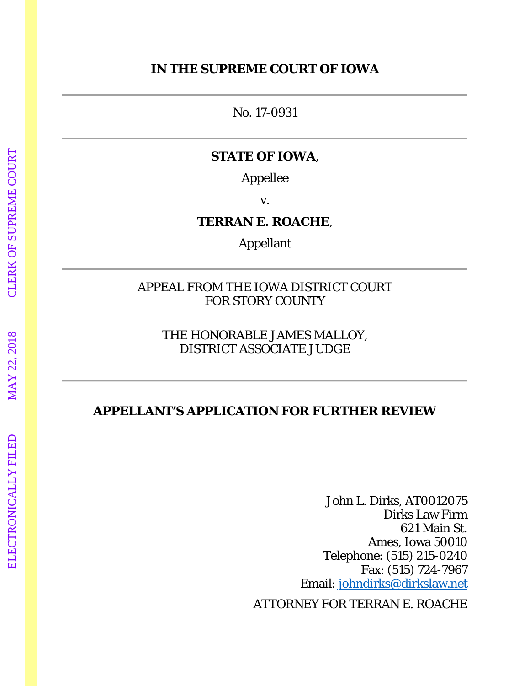### **IN THE SUPREME COURT OF IOWA**

No. 17-0931

### **STATE OF IOWA**,

Appellee

v.

**TERRAN E. ROACHE**,

Appellant

APPEAL FROM THE IOWA DISTRICT COURT FOR STORY COUNTY

THE HONORABLE JAMES MALLOY, DISTRICT ASSOCIATE JUDGE

# **APPELLANT'S APPLICATION FOR FURTHER REVIEW**

John L. Dirks, AT0012075 Dirks Law Firm 621 Main St. Ames, Iowa 50010 Telephone: (515) 215-0240 Fax: (515) 724-7967 Email: johndirks@dirkslaw.net

ATTORNEY FOR TERRAN E. ROACHE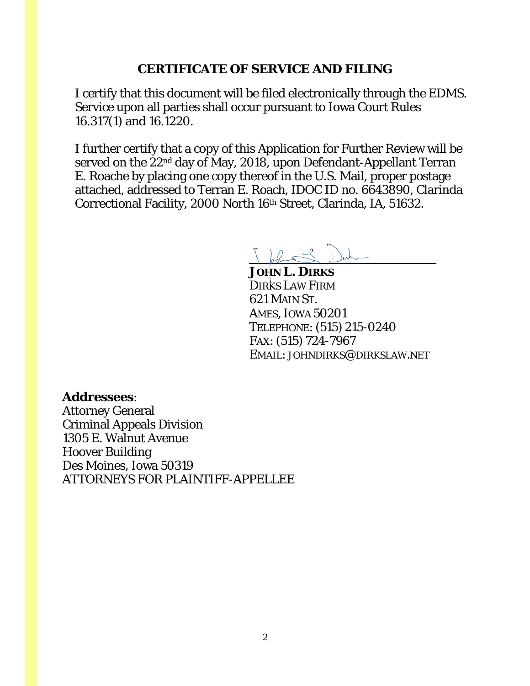### **CERTIFICATE OF SERVICE AND FILING**

I certify that this document will be filed electronically through the EDMS. Service upon all parties shall occur pursuant to Iowa Court Rules 16.317(1) and 16.1220.

I further certify that a copy of this Application for Further Review will be served on the 22nd day of May, 2018, upon Defendant-Appellant Terran E. Roache by placing one copy thereof in the U.S. Mail, proper postage attached, addressed to Terran E. Roach, IDOC ID no. 6643890, Clarinda Correctional Facility, 2000 North 16th Street, Clarinda, IA, 51632.

hard

**JOHN L. DIRKS** DIRKS LAW FIRM 621 MAIN ST. AMES, IOWA 50201 TELEPHONE: (515) 215-0240 FAX: (515) 724-7967 EMAIL: JOHNDIRKS@DIRKSLAW.NET

### **Addressees**:

Attorney General Criminal Appeals Division 1305 E. Walnut Avenue Hoover Building Des Moines, Iowa 50319 ATTORNEYS FOR PLAINTIFF-APPELLEE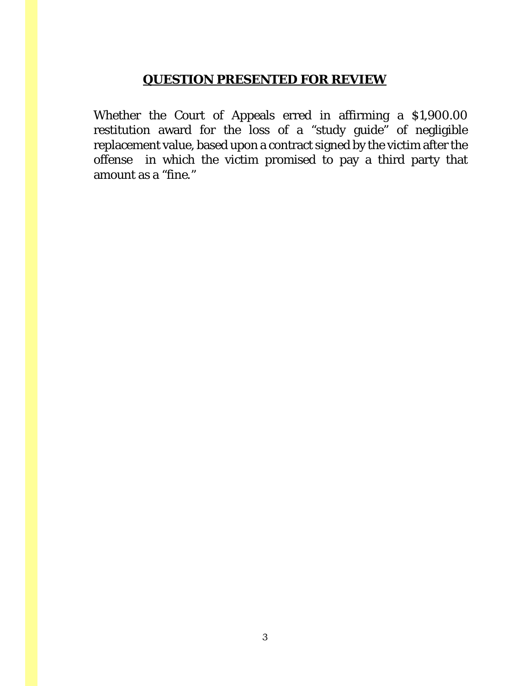## **QUESTION PRESENTED FOR REVIEW**

Whether the Court of Appeals erred in affirming a \$1,900.00 restitution award for the loss of a "study guide" of negligible replacement value, based upon a contract signed by the victim after the offense in which the victim promised to pay a third party that amount as a "fine."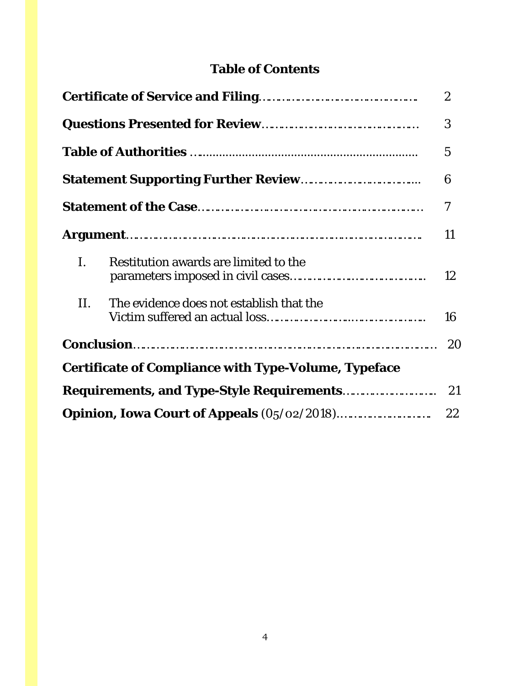# **Table of Contents**

| $\boldsymbol{2}$ |                                                             |    |  |  |  |  |
|------------------|-------------------------------------------------------------|----|--|--|--|--|
|                  |                                                             | 3  |  |  |  |  |
|                  |                                                             | 5  |  |  |  |  |
|                  |                                                             | 6  |  |  |  |  |
|                  |                                                             | 7  |  |  |  |  |
|                  |                                                             |    |  |  |  |  |
| L.               | Restitution awards are limited to the                       | 12 |  |  |  |  |
| II.              | The evidence does not establish that the                    | 16 |  |  |  |  |
|                  |                                                             | 20 |  |  |  |  |
|                  | <b>Certificate of Compliance with Type-Volume, Typeface</b> |    |  |  |  |  |
|                  | <b>Requirements, and Type-Style Requirements</b>            | 21 |  |  |  |  |
|                  |                                                             | 22 |  |  |  |  |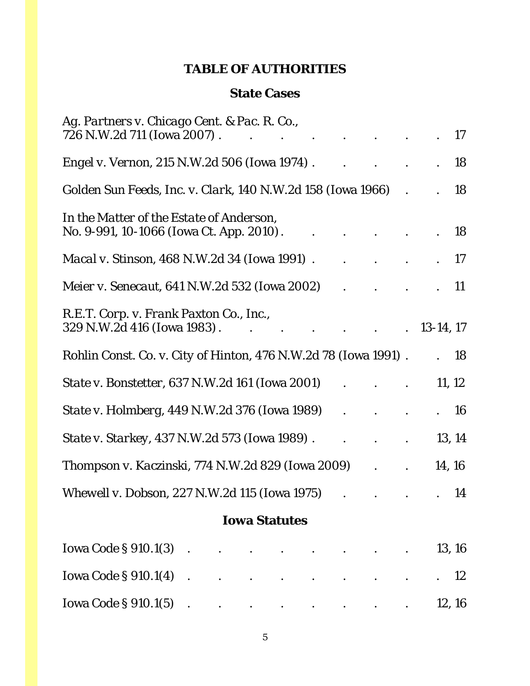## **TABLE OF AUTHORITIES**

### **State Cases**

| Ag. Partners v. Chicago Cent. & Pac. R. Co.,<br>726 N.W.2d 711 (Iowa 2007).          |  |                      |                                                                                                                                                                                                                                                                                                                                                                                                                              |                      |  | $\bullet$ .<br><br><br><br><br><br><br><br><br><br><br><br><br><br> |           | 17        |
|--------------------------------------------------------------------------------------|--|----------------------|------------------------------------------------------------------------------------------------------------------------------------------------------------------------------------------------------------------------------------------------------------------------------------------------------------------------------------------------------------------------------------------------------------------------------|----------------------|--|---------------------------------------------------------------------|-----------|-----------|
| <i>Engel v. Vernon</i> , 215 N.W.2d 506 (Iowa 1974).                                 |  |                      |                                                                                                                                                                                                                                                                                                                                                                                                                              |                      |  |                                                                     |           | <b>18</b> |
| Golden Sun Feeds, Inc. v. Clark, 140 N.W.2d 158 (Iowa 1966)                          |  |                      |                                                                                                                                                                                                                                                                                                                                                                                                                              |                      |  |                                                                     |           | 18        |
| In the Matter of the Estate of Anderson,<br>No. 9-991, 10-1066 (Iowa Ct. App. 2010). |  |                      |                                                                                                                                                                                                                                                                                                                                                                                                                              |                      |  |                                                                     |           | 18        |
| <i>Macal v. Stinson</i> , 468 N.W.2d 34 (Iowa 1991).                                 |  |                      |                                                                                                                                                                                                                                                                                                                                                                                                                              |                      |  | $\bullet$                                                           |           | 17        |
| <i>Meier v. Senecaut, 641 N.W.2d 532 (Iowa 2002)</i>                                 |  |                      |                                                                                                                                                                                                                                                                                                                                                                                                                              |                      |  |                                                                     |           | <b>11</b> |
| R.E.T. Corp. v. Frank Paxton Co., Inc.,<br>329 N.W.2d 416 (Iowa 1983).               |  |                      |                                                                                                                                                                                                                                                                                                                                                                                                                              |                      |  | $\ddot{\phantom{a}}$                                                | 13-14, 17 |           |
| <i>Rohlin Const. Co. v. City of Hinton, 476 N.W.2d 78 (Iowa 1991).</i>               |  |                      |                                                                                                                                                                                                                                                                                                                                                                                                                              |                      |  |                                                                     |           | - 18      |
| <i>State v. Bonstetter, 637 N.W.2d 161 (Iowa 2001)</i>                               |  |                      |                                                                                                                                                                                                                                                                                                                                                                                                                              |                      |  |                                                                     | 11, 12    |           |
| <i>State v. Holmberg, 449 N.W.2d 376 (Iowa 1989)</i>                                 |  |                      |                                                                                                                                                                                                                                                                                                                                                                                                                              |                      |  |                                                                     |           | - 16      |
| <i>State v. Starkey, 437 N.W.2d 573 (Iowa 1989).</i>                                 |  |                      |                                                                                                                                                                                                                                                                                                                                                                                                                              |                      |  |                                                                     | 13, 14    |           |
| <i>Thompson v. Kaczinski, 774 N.W.2d 829 (Iowa 2009)</i>                             |  |                      |                                                                                                                                                                                                                                                                                                                                                                                                                              |                      |  |                                                                     |           | 14, 16    |
| Whewell v. Dobson, 227 N.W.2d 115 (Iowa 1975)                                        |  |                      |                                                                                                                                                                                                                                                                                                                                                                                                                              | $\ddot{\phantom{a}}$ |  |                                                                     |           | 14        |
|                                                                                      |  | <b>Iowa Statutes</b> |                                                                                                                                                                                                                                                                                                                                                                                                                              |                      |  |                                                                     |           |           |
| Iowa Code $\S 910.1(3)$                                                              |  |                      | $\mathbf{r} = \mathbf{r} + \mathbf{r} + \mathbf{r} + \mathbf{r} + \mathbf{r} + \mathbf{r} + \mathbf{r} + \mathbf{r} + \mathbf{r} + \mathbf{r} + \mathbf{r} + \mathbf{r} + \mathbf{r} + \mathbf{r} + \mathbf{r} + \mathbf{r} + \mathbf{r} + \mathbf{r} + \mathbf{r} + \mathbf{r} + \mathbf{r} + \mathbf{r} + \mathbf{r} + \mathbf{r} + \mathbf{r} + \mathbf{r} + \mathbf{r} + \mathbf{r} + \mathbf{r} + \mathbf{r} + \mathbf$ |                      |  |                                                                     | 13, 16    |           |
|                                                                                      |  |                      |                                                                                                                                                                                                                                                                                                                                                                                                                              |                      |  |                                                                     |           | 12        |
| Iowa Code § 910.1(5) $\cdot$                                                         |  |                      |                                                                                                                                                                                                                                                                                                                                                                                                                              |                      |  |                                                                     |           | 12, 16    |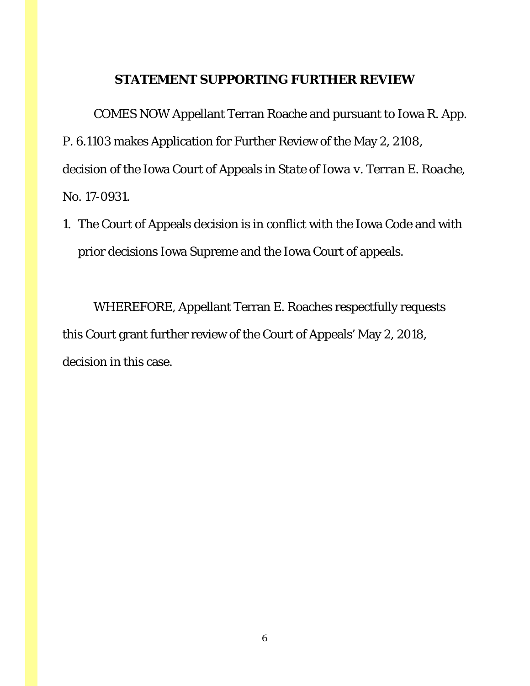### **STATEMENT SUPPORTING FURTHER REVIEW**

COMES NOW Appellant Terran Roache and pursuant to Iowa R. App. P. 6.1103 makes Application for Further Review of the May 2, 2108, decision of the Iowa Court of Appeals in *State of Iowa v. Terran E. Roache*, No. 17-0931.

1. The Court of Appeals decision is in conflict with the Iowa Code and with prior decisions Iowa Supreme and the Iowa Court of appeals.

WHEREFORE, Appellant Terran E. Roaches respectfully requests this Court grant further review of the Court of Appeals' May 2, 2018, decision in this case.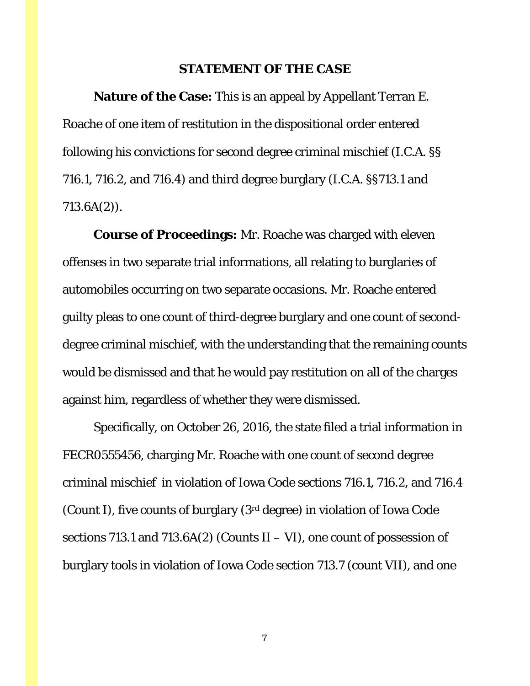#### **STATEMENT OF THE CASE**

**Nature of the Case:** This is an appeal by Appellant Terran E. Roache of one item of restitution in the dispositional order entered following his convictions for second degree criminal mischief (I.C.A. §§ 716.1, 716.2, and 716.4) and third degree burglary (I.C.A. §§713.1 and 713.6A(2)).

**Course of Proceedings:** Mr. Roache was charged with eleven offenses in two separate trial informations, all relating to burglaries of automobiles occurring on two separate occasions. Mr. Roache entered guilty pleas to one count of third-degree burglary and one count of seconddegree criminal mischief, with the understanding that the remaining counts would be dismissed and that he would pay restitution on all of the charges against him, regardless of whether they were dismissed.

Specifically, on October 26, 2016, the state filed a trial information in FECR0555456, charging Mr. Roache with one count of second degree criminal mischief in violation of Iowa Code sections 716.1, 716.2, and 716.4 (Count I), five counts of burglary (3rd degree) in violation of Iowa Code sections 713.1 and 713.6A(2) (Counts  $II - VI$ ), one count of possession of burglary tools in violation of Iowa Code section 713.7 (count VII), and one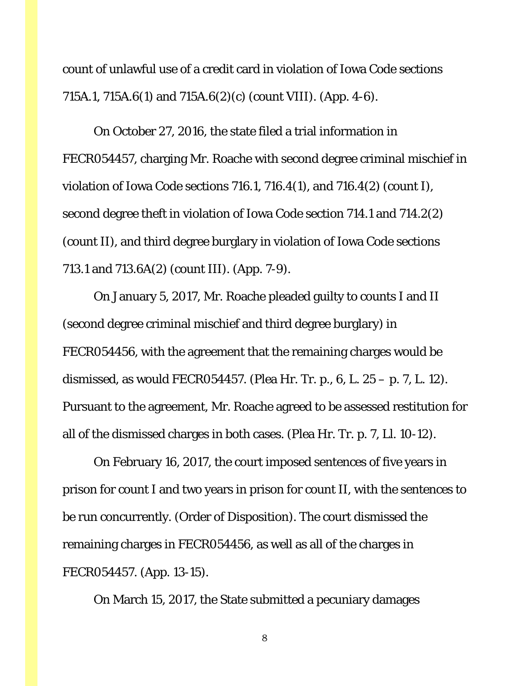count of unlawful use of a credit card in violation of Iowa Code sections 715A.1, 715A.6(1) and 715A.6(2)(c) (count VIII). (App. 4-6).

On October 27, 2016, the state filed a trial information in FECR054457, charging Mr. Roache with second degree criminal mischief in violation of Iowa Code sections 716.1, 716.4(1), and 716.4(2) (count I), second degree theft in violation of Iowa Code section 714.1 and 714.2(2) (count II), and third degree burglary in violation of Iowa Code sections 713.1 and 713.6A(2) (count III). (App. 7-9).

On January 5, 2017, Mr. Roache pleaded guilty to counts I and II (second degree criminal mischief and third degree burglary) in FECR054456, with the agreement that the remaining charges would be dismissed, as would FECR054457. (Plea Hr. Tr. p., 6, L. 25 – p. 7, L. 12). Pursuant to the agreement, Mr. Roache agreed to be assessed restitution for all of the dismissed charges in both cases. (Plea Hr. Tr. p. 7, Ll. 10-12).

On February 16, 2017, the court imposed sentences of five years in prison for count I and two years in prison for count II, with the sentences to be run concurrently. (Order of Disposition). The court dismissed the remaining charges in FECR054456, as well as all of the charges in FECR054457. (App. 13-15).

On March 15, 2017, the State submitted a pecuniary damages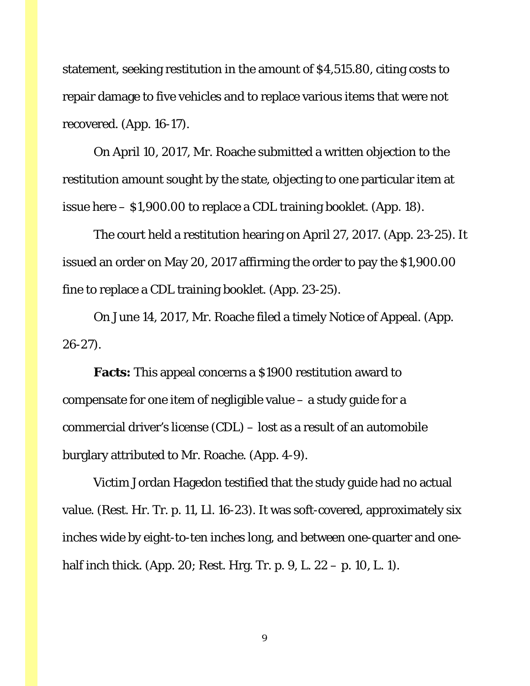statement, seeking restitution in the amount of \$4,515.80, citing costs to repair damage to five vehicles and to replace various items that were not recovered. (App. 16-17).

On April 10, 2017, Mr. Roache submitted a written objection to the restitution amount sought by the state, objecting to one particular item at issue here – \$1,900.00 to replace a CDL training booklet. (App. 18).

The court held a restitution hearing on April 27, 2017. (App. 23-25). It issued an order on May 20, 2017 affirming the order to pay the \$1,900.00 fine to replace a CDL training booklet. (App. 23-25).

On June 14, 2017, Mr. Roache filed a timely Notice of Appeal. (App. 26-27).

**Facts:** This appeal concerns a \$1900 restitution award to compensate for one item of negligible value – a study guide for a commercial driver's license (CDL) – lost as a result of an automobile burglary attributed to Mr. Roache. (App. 4-9).

Victim Jordan Hagedon testified that the study guide had no actual value. (Rest. Hr. Tr. p. 11, Ll. 16-23). It was soft-covered, approximately six inches wide by eight-to-ten inches long, and between one-quarter and onehalf inch thick. (App. 20; Rest. Hrg. Tr. p. 9, L. 22 – p. 10, L. 1).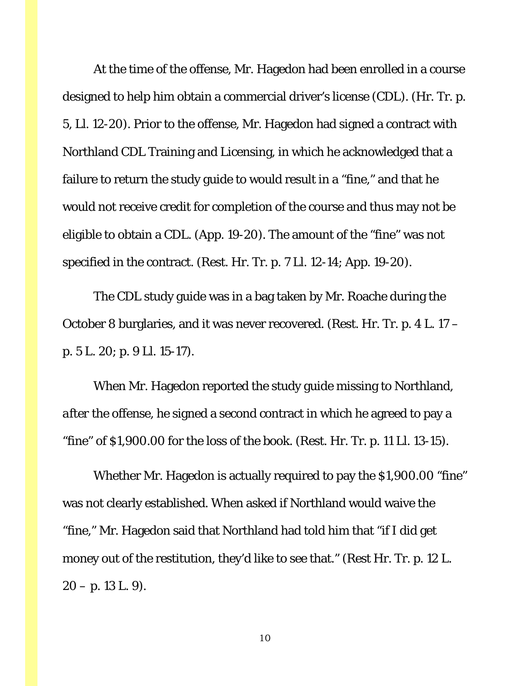At the time of the offense, Mr. Hagedon had been enrolled in a course designed to help him obtain a commercial driver's license (CDL). (Hr. Tr. p. 5, Ll. 12-20). Prior to the offense, Mr. Hagedon had signed a contract with Northland CDL Training and Licensing, in which he acknowledged that a failure to return the study guide to would result in a "fine," and that he would not receive credit for completion of the course and thus may not be eligible to obtain a CDL. (App. 19-20). The amount of the "fine" was not specified in the contract. (Rest. Hr. Tr. p. 7 Ll. 12-14; App. 19-20).

The CDL study guide was in a bag taken by Mr. Roache during the October 8 burglaries, and it was never recovered. (Rest. Hr. Tr. p. 4 L. 17 – p. 5 L. 20; p. 9 Ll. 15-17).

When Mr. Hagedon reported the study guide missing to Northland, *after* the offense, he signed a second contract in which he agreed to pay a "fine" of \$1,900.00 for the loss of the book. (Rest. Hr. Tr. p. 11 Ll. 13-15).

Whether Mr. Hagedon is actually required to pay the \$1,900.00 "fine" was not clearly established. When asked if Northland would waive the "fine," Mr. Hagedon said that Northland had told him that "if I did get money out of the restitution, they'd like to see that." (Rest Hr. Tr. p. 12 L.  $20 - p. 13 L. 9$ .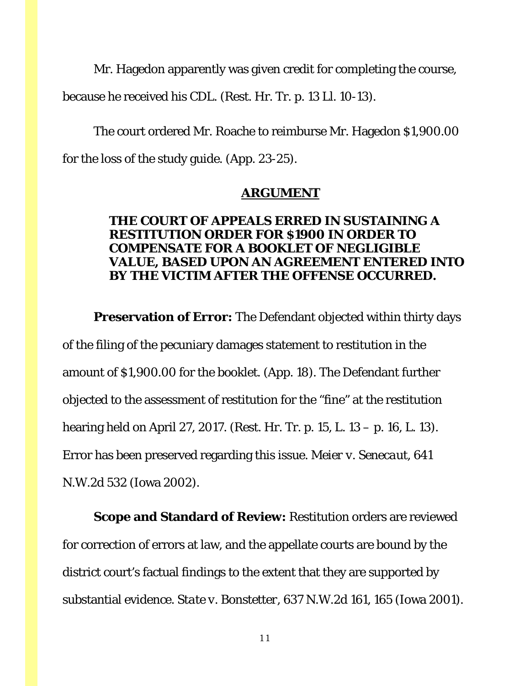Mr. Hagedon apparently was given credit for completing the course, because he received his CDL. (Rest. Hr. Tr. p. 13 Ll. 10-13).

The court ordered Mr. Roache to reimburse Mr. Hagedon \$1,900.00 for the loss of the study guide. (App. 23-25).

#### **ARGUMENT**

### **THE COURT OF APPEALS ERRED IN SUSTAINING A RESTITUTION ORDER FOR \$1900 IN ORDER TO COMPENSATE FOR A BOOKLET OF NEGLIGIBLE VALUE, BASED UPON AN AGREEMENT ENTERED INTO BY THE VICTIM AFTER THE OFFENSE OCCURRED.**

**Preservation of Error:** The Defendant objected within thirty days of the filing of the pecuniary damages statement to restitution in the amount of \$1,900.00 for the booklet. (App. 18). The Defendant further objected to the assessment of restitution for the "fine" at the restitution hearing held on April 27, 2017. (Rest. Hr. Tr. p. 15, L. 13 – p. 16, L. 13). Error has been preserved regarding this issue. *Meier v. Senecaut*, 641 N.W.2d 532 (Iowa 2002).

**Scope and Standard of Review:** Restitution orders are reviewed for correction of errors at law, and the appellate courts are bound by the district court's factual findings to the extent that they are supported by substantial evidence. *State v. Bonstetter*, 637 N.W.2d 161, 165 (Iowa 2001).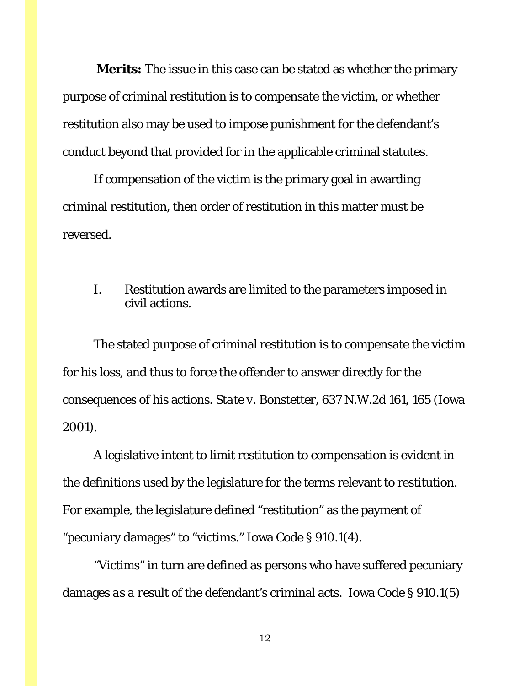**Merits:** The issue in this case can be stated as whether the primary purpose of criminal restitution is to compensate the victim, or whether restitution also may be used to impose punishment for the defendant's conduct beyond that provided for in the applicable criminal statutes.

If compensation of the victim is the primary goal in awarding criminal restitution, then order of restitution in this matter must be reversed.

### I. Restitution awards are limited to the parameters imposed in civil actions.

The stated purpose of criminal restitution is to compensate the victim for his loss, and thus to force the offender to answer directly for the consequences of his actions. *State v. Bonstetter*, 637 N.W.2d 161, 165 (Iowa 2001).

A legislative intent to limit restitution to compensation is evident in the definitions used by the legislature for the terms relevant to restitution. For example, the legislature defined "restitution" as the payment of "pecuniary damages" to "victims." Iowa Code § 910.1(4).

"Victims" in turn are defined as persons who have suffered pecuniary damages *as a result of* the defendant's criminal acts. Iowa Code § 910.1(5)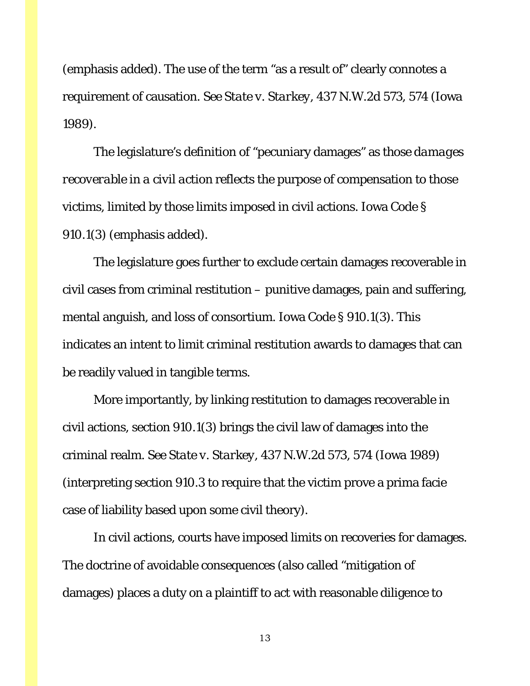(emphasis added). The use of the term "as a result of" clearly connotes a requirement of causation. *See State v. Starkey*, 437 N.W.2d 573, 574 (Iowa 1989).

The legislature's definition of "pecuniary damages" as *those damages recoverable in a civil action* reflects the purpose of compensation to those victims, limited by those limits imposed in civil actions. Iowa Code § 910.1(3) (emphasis added).

The legislature goes further to exclude certain damages recoverable in civil cases from criminal restitution – punitive damages, pain and suffering, mental anguish, and loss of consortium. Iowa Code § 910.1(3). This indicates an intent to limit criminal restitution awards to damages that can be readily valued in tangible terms.

More importantly, by linking restitution to damages recoverable in civil actions, section 910.1(3) brings the civil law of damages into the criminal realm. *See State v. Starkey*, 437 N.W.2d 573, 574 (Iowa 1989) (interpreting section 910.3 to require that the victim prove a prima facie case of liability based upon some civil theory).

In civil actions, courts have imposed limits on recoveries for damages. The doctrine of avoidable consequences (also called "mitigation of damages) places a duty on a plaintiff to act with reasonable diligence to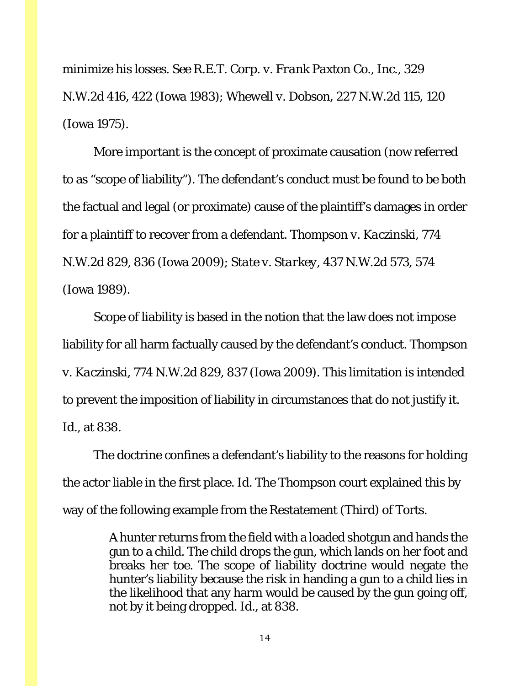minimize his losses. *See R.E.T. Corp. v. Frank Paxton Co., Inc.*, 329 N.W.2d 416, 422 (Iowa 1983); *Whewell v. Dobson*, 227 N.W.2d 115, 120 (Iowa 1975).

More important is the concept of proximate causation (now referred to as "scope of liability"). The defendant's conduct must be found to be both the factual and legal (or proximate) cause of the plaintiff's damages in order for a plaintiff to recover from a defendant. *Thompson v. Kaczinski*, 774 N.W.2d 829, 836 (Iowa 2009); *State v. Starkey*, 437 N.W.2d 573, 574 (Iowa 1989).

Scope of liability is based in the notion that the law does not impose liability for all harm factually caused by the defendant's conduct. *Thompson v. Kaczinski*, 774 N.W.2d 829, 837 (Iowa 2009). This limitation is intended to prevent the imposition of liability in circumstances that do not justify it. *Id*., at 838.

The doctrine confines a defendant's liability to the reasons for holding the actor liable in the first place. *Id*. The *Thompson* court explained this by way of the following example from the Restatement (Third) of Torts.

> A hunter returns from the field with a loaded shotgun and hands the gun to a child. The child drops the gun, which lands on her foot and breaks her toe. The scope of liability doctrine would negate the hunter's liability because the risk in handing a gun to a child lies in the likelihood that any harm would be caused by the gun going off, not by it being dropped. *Id*., at 838.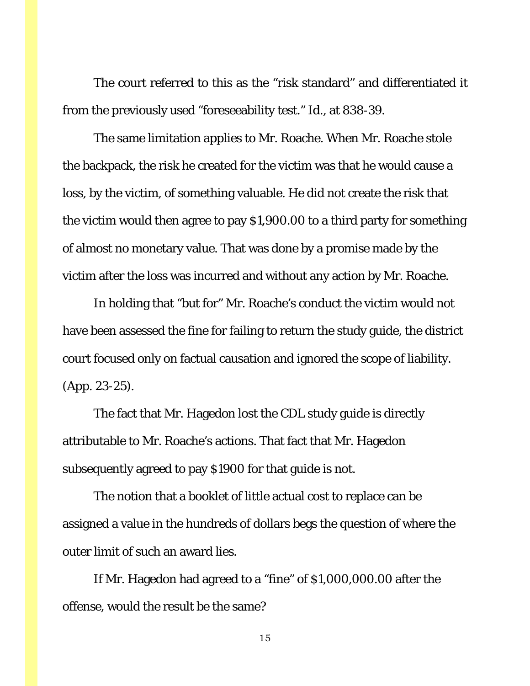The court referred to this as the "risk standard" and differentiated it from the previously used "foreseeability test." *Id*., at 838-39.

The same limitation applies to Mr. Roache. When Mr. Roache stole the backpack, the risk he created for the victim was that he would cause a loss, by the victim, of something valuable. He did not create the risk that the victim would then agree to pay \$1,900.00 to a third party for something of almost no monetary value. That was done by a promise made by the victim after the loss was incurred and without any action by Mr. Roache.

In holding that "but for" Mr. Roache's conduct the victim would not have been assessed the fine for failing to return the study guide, the district court focused only on factual causation and ignored the scope of liability. (App. 23-25).

The fact that Mr. Hagedon lost the CDL study guide is directly attributable to Mr. Roache's actions. That fact that Mr. Hagedon subsequently agreed to pay \$1900 for that guide is not.

The notion that a booklet of little actual cost to replace can be assigned a value in the hundreds of dollars begs the question of where the outer limit of such an award lies.

If Mr. Hagedon had agreed to a "fine" of \$1,000,000.00 after the offense, would the result be the same?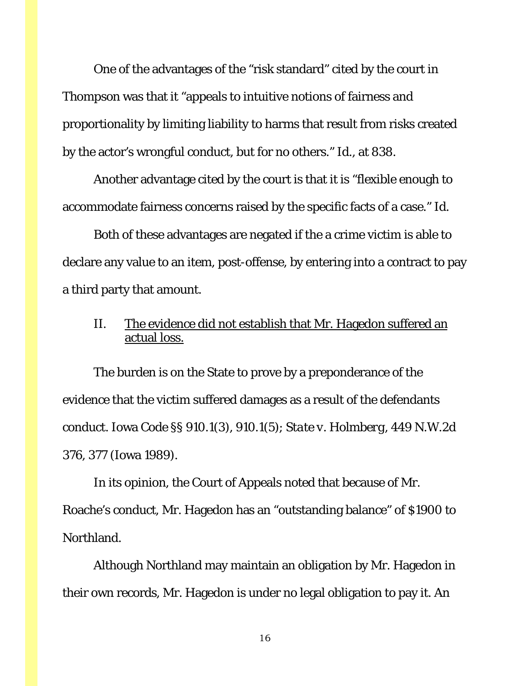One of the advantages of the "risk standard" cited by the court in *Thompson* was that it "appeals to intuitive notions of fairness and proportionality by limiting liability to harms that result from risks created by the actor's wrongful conduct, but for no others." *Id*., at 838.

Another advantage cited by the court is that it is "flexible enough to accommodate fairness concerns raised by the specific facts of a case." *Id*.

Both of these advantages are negated if the a crime victim is able to declare any value to an item, post-offense, by entering into a contract to pay a third party that amount.

### II. The evidence did not establish that Mr. Hagedon suffered an actual loss.

The burden is on the State to prove by a preponderance of the evidence that the victim suffered damages as a result of the defendants conduct. Iowa Code §§ 910.1(3), 910.1(5); *State v. Holmberg*, 449 N.W.2d 376, 377 (Iowa 1989).

In its opinion, the Court of Appeals noted that because of Mr. Roache's conduct, Mr. Hagedon has an "outstanding balance" of \$1900 to Northland.

Although Northland may maintain an obligation by Mr. Hagedon in their own records, Mr. Hagedon is under no legal obligation to pay it. An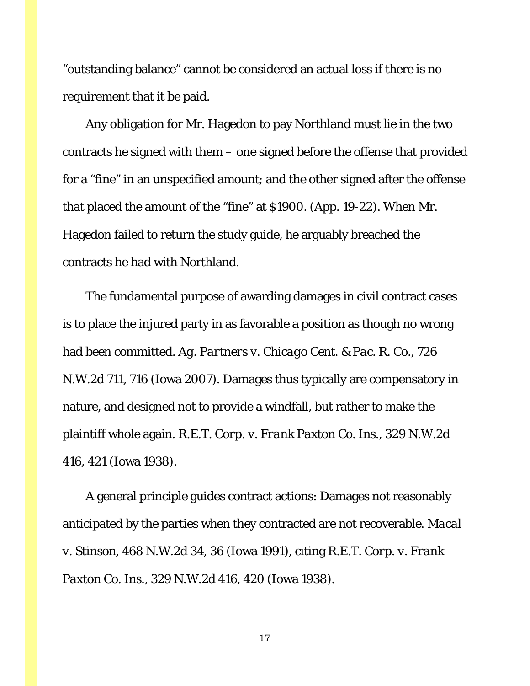"outstanding balance" cannot be considered an actual loss if there is no requirement that it be paid.

Any obligation for Mr. Hagedon to pay Northland must lie in the two contracts he signed with them – one signed before the offense that provided for a "fine" in an unspecified amount; and the other signed after the offense that placed the amount of the "fine" at \$1900. (App. 19-22). When Mr. Hagedon failed to return the study guide, he arguably breached the contracts he had with Northland.

The fundamental purpose of awarding damages in civil contract cases is to place the injured party in as favorable a position as though no wrong had been committed. *Ag. Partners v. Chicago Cent. & Pac. R. Co.*, 726 N.W.2d 711, 716 (Iowa 2007). Damages thus typically are compensatory in nature, and designed not to provide a windfall, but rather to make the plaintiff whole again. *R.E.T. Corp. v. Frank Paxton Co. Ins*., 329 N.W.2d 416, 421 (Iowa 1938).

A general principle guides contract actions: Damages not reasonably anticipated by the parties when they contracted are not recoverable. *Macal v. Stinson*, 468 N.W.2d 34, 36 (Iowa 1991), citing *R.E.T. Corp. v. Frank Paxton Co. Ins*., 329 N.W.2d 416, 420 (Iowa 1938).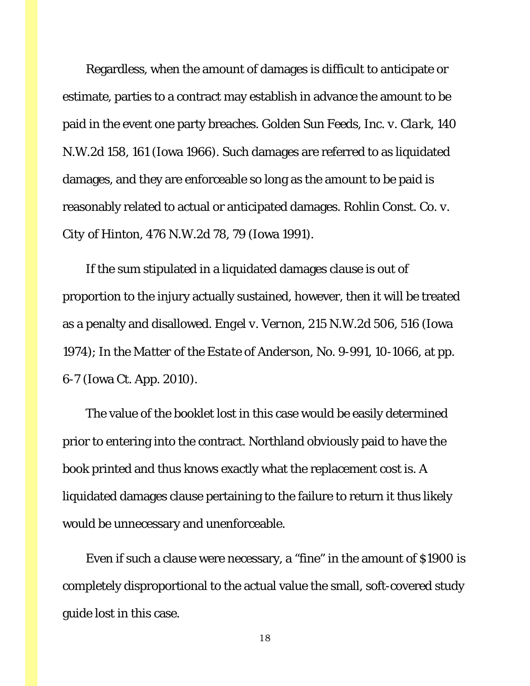Regardless, when the amount of damages is difficult to anticipate or estimate, parties to a contract may establish in advance the amount to be paid in the event one party breaches. *Golden Sun Feeds, Inc. v. Clark*, 140 N.W.2d 158, 161 (Iowa 1966). Such damages are referred to as liquidated damages, and they are enforceable so long as the amount to be paid is reasonably related to actual or anticipated damages. *Rohlin Const. Co. v. City of Hinton*, 476 N.W.2d 78, 79 (Iowa 1991).

If the sum stipulated in a liquidated damages clause is out of proportion to the injury actually sustained, however, then it will be treated as a penalty and disallowed. *Engel v. Vernon*, 215 N.W.2d 506, 516 (Iowa 1974); *In the Matter of the Estate of Anderson*, No. 9-991, 10-1066, at pp. 6-7 (Iowa Ct. App. 2010).

The value of the booklet lost in this case would be easily determined prior to entering into the contract. Northland obviously paid to have the book printed and thus knows exactly what the replacement cost is. A liquidated damages clause pertaining to the failure to return it thus likely would be unnecessary and unenforceable.

Even if such a clause were necessary, a "fine" in the amount of \$1900 is completely disproportional to the actual value the small, soft-covered study guide lost in this case.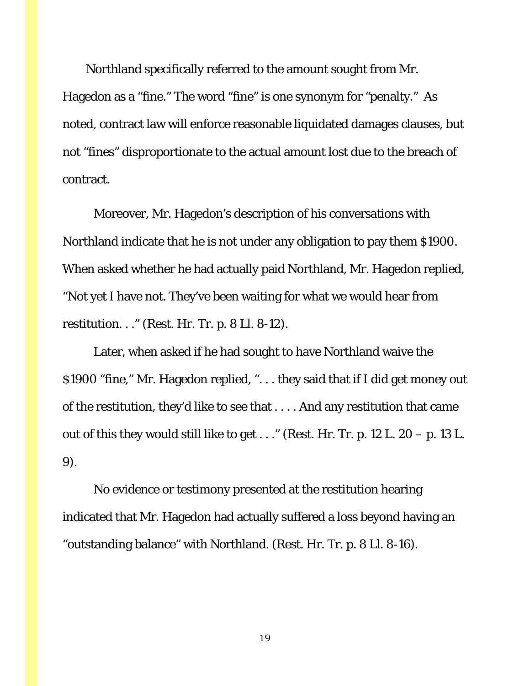Northland specifically referred to the amount sought from Mr. Hagedon as a "fine." The word "fine" is one synonym for "penalty." As noted, contract law will enforce reasonable liquidated damages clauses, but not "fines" disproportionate to the actual amount lost due to the breach of contract.

Moreover, Mr. Hagedon's description of his conversations with Northland indicate that he is not under any obligation to pay them \$1900. When asked whether he had actually paid Northland, Mr. Hagedon replied, "Not yet I have not. They've been waiting for what we would hear from restitution. . ." (Rest. Hr. Tr. p. 8 Ll. 8-12).

Later, when asked if he had sought to have Northland waive the \$1900 "fine," Mr. Hagedon replied, ". . . they said that if I did get money out of the restitution, they'd like to see that . . . . And any restitution that came out of this they would still like to get  $\ldots$ " (Rest. Hr. Tr. p. 12 L. 20 – p. 13 L. 9).

No evidence or testimony presented at the restitution hearing indicated that Mr. Hagedon had actually suffered a loss beyond having an "outstanding balance" with Northland. (Rest. Hr. Tr. p. 8 Ll. 8-16).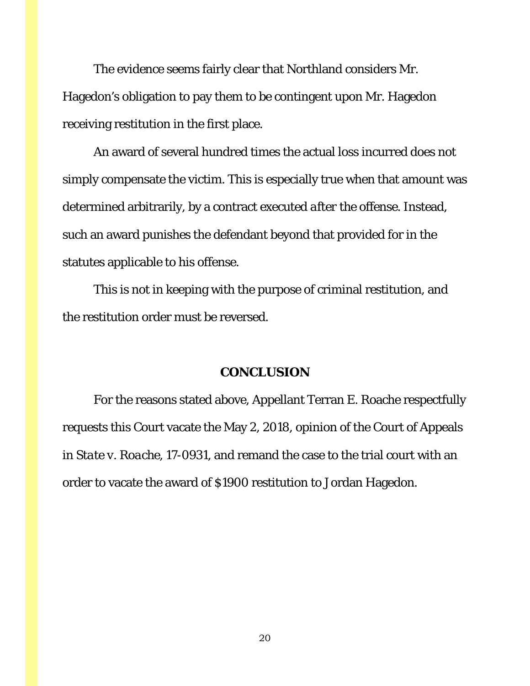The evidence seems fairly clear that Northland considers Mr. Hagedon's obligation to pay them to be contingent upon Mr. Hagedon receiving restitution in the first place.

An award of several hundred times the actual loss incurred does not simply compensate the victim. This is especially true when that amount was determined arbitrarily, by a contract executed *after the offense*. Instead, such an award punishes the defendant beyond that provided for in the statutes applicable to his offense.

This is not in keeping with the purpose of criminal restitution, and the restitution order must be reversed.

#### **CONCLUSION**

For the reasons stated above, Appellant Terran E. Roache respectfully requests this Court vacate the May 2, 2018, opinion of the Court of Appeals in *State v. Roache*, 17-0931, and remand the case to the trial court with an order to vacate the award of \$1900 restitution to Jordan Hagedon.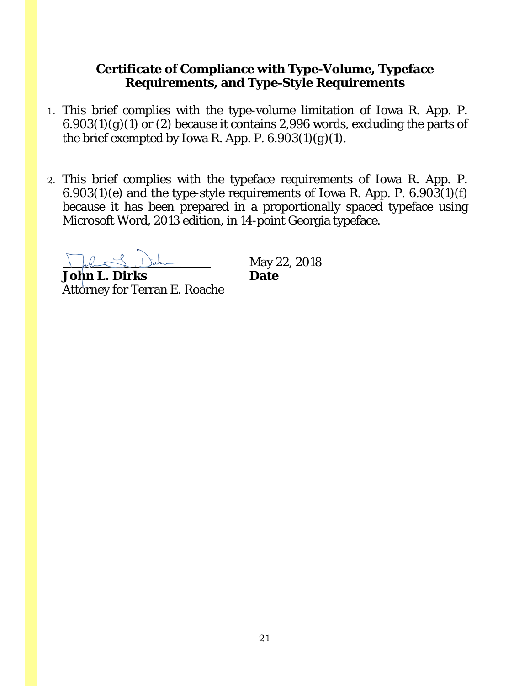### **Certificate of Compliance with Type-Volume, Typeface Requirements, and Type-Style Requirements**

- 1. This brief complies with the type-volume limitation of Iowa R. App. P.  $6.903(1)(g)(1)$  or (2) because it contains 2,996 words, excluding the parts of the brief exempted by Iowa R. App. P. 6.903(1)(*g*)(1).
- 2. This brief complies with the typeface requirements of Iowa R. App. P. 6.903(1)(*e*) and the type-style requirements of Iowa R. App. P. 6.903(1)(*f*) because it has been prepared in a proportionally spaced typeface using Microsoft Word, 2013 edition, in 14-point Georgia typeface.

**John L. Dirks Date** Attorney for Terran E. Roache

May 22, 2018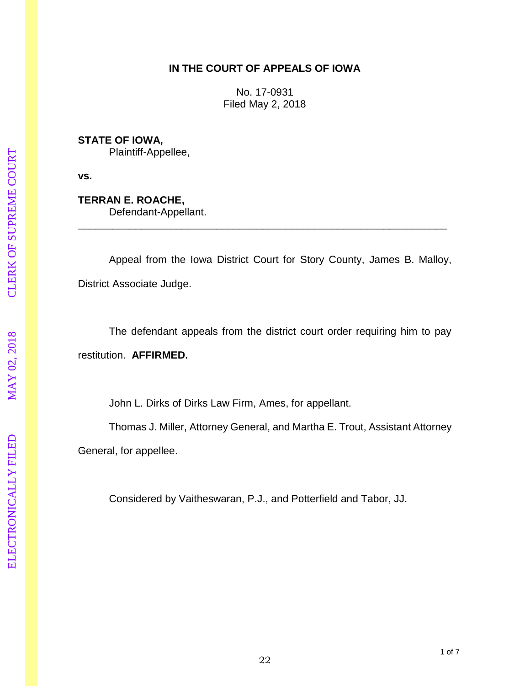#### **IN THE COURT OF APPEALS OF IOWA**

No. 17 -0931 Filed May 2, 2018

**STATE OF IOWA,** Plaintiff -Appellee,

**vs.**

**TERRAN E. ROACHE ,** Defendant -Appellant.

Appeal from the Iowa District Court for Story County, James B. Malloy, District Associate Judge.

\_\_\_\_\_\_\_\_\_\_\_\_\_\_\_\_\_\_\_\_\_\_\_\_\_\_\_\_\_\_\_\_\_\_\_\_\_\_\_\_\_\_\_\_\_\_\_\_\_\_\_\_\_\_\_\_\_\_\_\_\_\_\_\_

The defendant appeals from the district court order requiring him to pay restitution. **AFFIRMED.**

John L. Dirks of Dirks Law Firm, Ames, for appellant.

Thomas J. Miller, Attorney General, and Martha E. Trout, Assistant Attorney General, for appellee.

Considered by Vaitheswaran, P.J., and Potterfield and Tabor, JJ.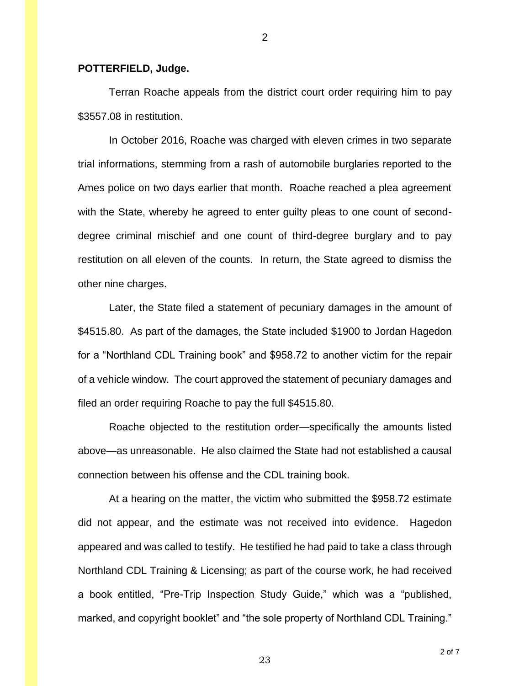#### **POTTERFIELD, Judge.**

Terran Roache appeals from the district court order requiring him to pay \$3557.08 in restitution.

In October 2016, Roache was charged with eleven crimes in two separate trial informations, stemming from a rash of automobile burglaries reported to the Ames police on two days earlier that month. Roache reached a plea agreement with the State, whereby he agreed to enter guilty pleas to one count of seconddegree criminal mischief and one count of third-degree burglary and to pay restitution on all eleven of the counts. In return, the State agreed to dismiss the other nine charges.

Later, the State filed a statement of pecuniary damages in the amount of \$4515.80. As part of the damages, the State included \$1900 to Jordan Hagedon for a "Northland CDL Training book" and \$958.72 to another victim for the repair of a vehicle window. The court approved the statement of pecuniary damages and filed an order requiring Roache to pay the full \$4515.80.

Roache objected to the restitution order—specifically the amounts listed above—as unreasonable. He also claimed the State had not established a causal connection between his offense and the CDL training book.

At a hearing on the matter, the victim who submitted the \$958.72 estimate did not appear, and the estimate was not received into evidence. Hagedon appeared and was called to testify. He testified he had paid to take a class through Northland CDL Training & Licensing; as part of the course work, he had received a book entitled, "Pre-Trip Inspection Study Guide," which was a "published, marked, and copyright booklet" and "the sole property of Northland CDL Training."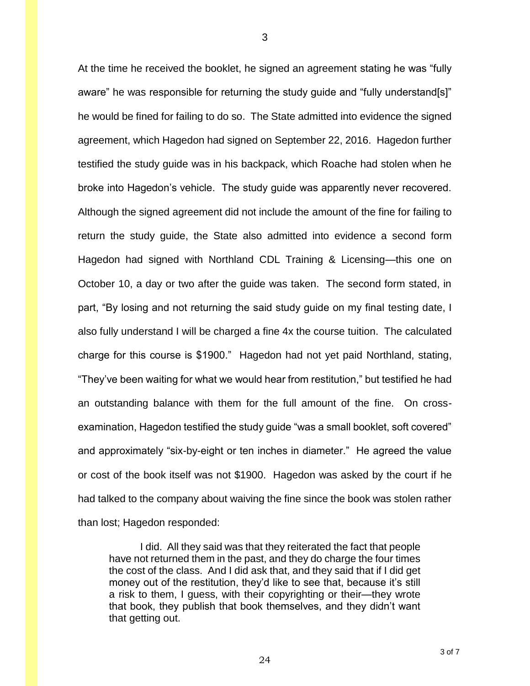At the time he received the booklet, he signed an agreement stating he was "fully aware" he was responsible for returning the study guide and "fully understand[s]" he would be fined for failing to do so. The State admitted into evidence the signed agreement, which Hagedon had signed on September 22, 2016. Hagedon further testified the study guide was in his backpack, which Roache had stolen when he broke into Hagedon's vehicle. The study guide was apparently never recovered. Although the signed agreement did not include the amount of the fine for failing to return the study guide, the State also admitted into evidence a second form Hagedon had signed with Northland CDL Training & Licensing—this one on October 10, a day or two after the guide was taken. The second form stated, in part, "By losing and not returning the said study guide on my final testing date, I also fully understand I will be charged a fine 4x the course tuition. The calculated charge for this course is \$1900." Hagedon had not yet paid Northland, stating, "They've been waiting for what we would hear from restitution," but testified he had an outstanding balance with them for the full amount of the fine. On crossexamination, Hagedon testified the study guide "was a small booklet, soft covered" and approximately "six-by-eight or ten inches in diameter." He agreed the value or cost of the book itself was not \$1900. Hagedon was asked by the court if he had talked to the company about waiving the fine since the book was stolen rather than lost; Hagedon responded:

I did. All they said was that they reiterated the fact that people have not returned them in the past, and they do charge the four times the cost of the class. And I did ask that, and they said that if I did get money out of the restitution, they'd like to see that, because it's still a risk to them, I guess, with their copyrighting or their—they wrote that book, they publish that book themselves, and they didn't want that getting out.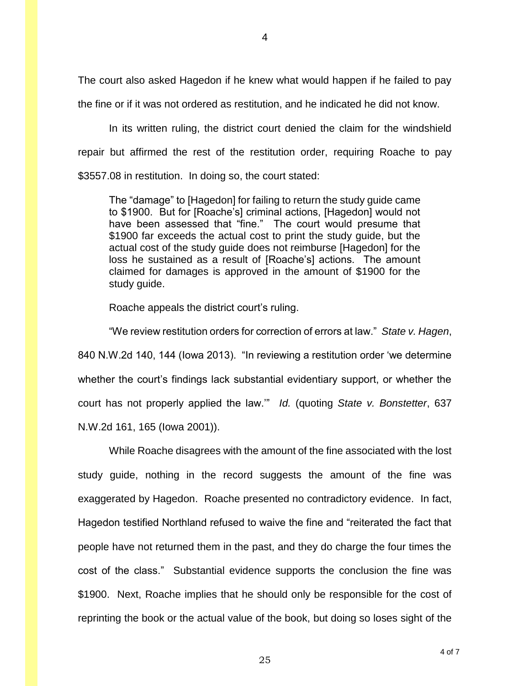The court also asked Hagedon if he knew what would happen if he failed to pay the fine or if it was not ordered as restitution, and he indicated he did not know.

In its written ruling, the district court denied the claim for the windshield repair but affirmed the rest of the restitution order, requiring Roache to pay \$3557.08 in restitution. In doing so, the court stated:

The "damage" to [Hagedon] for failing to return the study guide came to \$1900. But for [Roache's] criminal actions, [Hagedon] would not have been assessed that "fine." The court would presume that \$1900 far exceeds the actual cost to print the study guide, but the actual cost of the study guide does not reimburse [Hagedon] for the loss he sustained as a result of [Roache's] actions. The amount claimed for damages is approved in the amount of \$1900 for the study guide.

Roache appeals the district court's ruling.

"We review restitution orders for correction of errors at law." *State v. Hagen*, 840 N.W.2d 140, 144 (Iowa 2013). "In reviewing a restitution order 'we determine whether the court's findings lack substantial evidentiary support, or whether the court has not properly applied the law.'" *Id.* (quoting *State v. Bonstetter*, 637 N.W.2d 161, 165 (Iowa 2001)).

While Roache disagrees with the amount of the fine associated with the lost study guide, nothing in the record suggests the amount of the fine was exaggerated by Hagedon. Roache presented no contradictory evidence. In fact, Hagedon testified Northland refused to waive the fine and "reiterated the fact that people have not returned them in the past, and they do charge the four times the cost of the class." Substantial evidence supports the conclusion the fine was \$1900. Next, Roache implies that he should only be responsible for the cost of reprinting the book or the actual value of the book, but doing so loses sight of the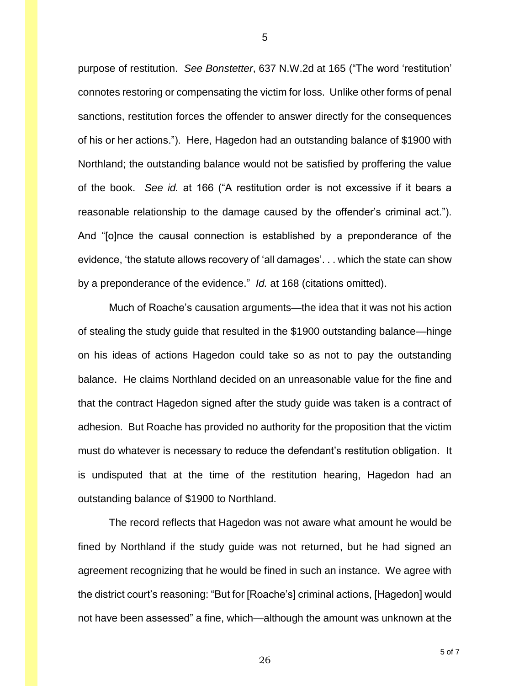purpose of restitution. *See Bonstetter*, 637 N.W.2d at 165 ("The word 'restitution' connotes restoring or compensating the victim for loss. Unlike other forms of penal sanctions, restitution forces the offender to answer directly for the consequences of his or her actions."). Here, Hagedon had an outstanding balance of \$1900 with Northland; the outstanding balance would not be satisfied by proffering the value of the book. *See id.* at 166 ("A restitution order is not excessive if it bears a reasonable relationship to the damage caused by the offender's criminal act."). And "[o]nce the causal connection is established by a preponderance of the evidence, 'the statute allows recovery of 'all damages'. . . which the state can show by a preponderance of the evidence." *Id.* at 168 (citations omitted).

Much of Roache's causation arguments—the idea that it was not his action of stealing the study guide that resulted in the \$1900 outstanding balance—hinge on his ideas of actions Hagedon could take so as not to pay the outstanding balance. He claims Northland decided on an unreasonable value for the fine and that the contract Hagedon signed after the study guide was taken is a contract of adhesion. But Roache has provided no authority for the proposition that the victim must do whatever is necessary to reduce the defendant's restitution obligation. It is undisputed that at the time of the restitution hearing, Hagedon had an outstanding balance of \$1900 to Northland.

The record reflects that Hagedon was not aware what amount he would be fined by Northland if the study guide was not returned, but he had signed an agreement recognizing that he would be fined in such an instance. We agree with the district court's reasoning: "But for [Roache's] criminal actions, [Hagedon] would not have been assessed" a fine, which—although the amount was unknown at the

5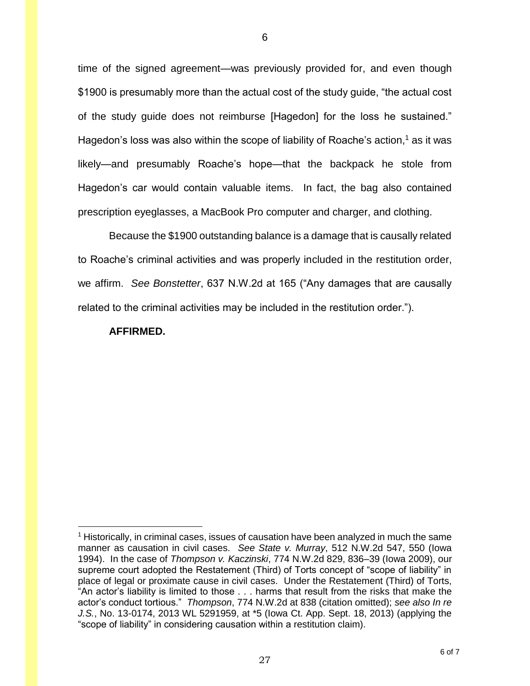time of the signed agreement—was previously provided for, and even though \$1900 is presumably more than the actual cost of the study guide, "the actual cost of the study guide does not reimburse [Hagedon] for the loss he sustained." Hagedon's loss was also within the scope of liability of Roache's action, <sup>1</sup> as it was likely—and presumably Roache's hope—that the backpack he stole from Hagedon's car would contain valuable items. In fact, the bag also contained prescription eyeglasses, a MacBook Pro computer and charger, and clothing.

Because the \$1900 outstanding balance is a damage that is causally related to Roache's criminal activities and was properly included in the restitution order, we affirm. *See Bonstetter*, 637 N.W.2d at 165 ("Any damages that are causally related to the criminal activities may be included in the restitution order.").

#### **AFFIRMED.**

 $\overline{a}$ 

 $<sup>1</sup>$  Historically, in criminal cases, issues of causation have been analyzed in much the same</sup> manner as causation in civil cases. *See State v. Murray*, 512 N.W.2d 547, 550 (Iowa 1994). In the case of *Thompson v. Kaczinski*, 774 N.W.2d 829, 836–39 (Iowa 2009), our supreme court adopted the Restatement (Third) of Torts concept of "scope of liability" in place of legal or proximate cause in civil cases. Under the Restatement (Third) of Torts, "An actor's liability is limited to those . . . harms that result from the risks that make the actor's conduct tortious." *Thompson*, 774 N.W.2d at 838 (citation omitted); *see also In re J.S.*, No. 13-0174, 2013 WL 5291959, at \*5 (Iowa Ct. App. Sept. 18, 2013) (applying the "scope of liability" in considering causation within a restitution claim).